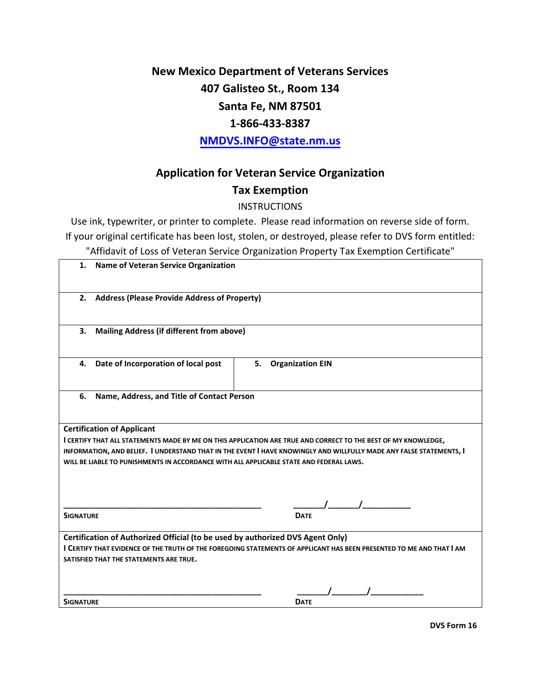# **New Mexico Department of Veterans Services 407 Galisteo St., Room 134 Santa Fe, NM 87501 1-866-433-8387**

**N[MDVS.INFO@state.nm.](http://www.dvs.state.nm.us/)us**

## **Application for Veteran Service Organization**

#### **Tax Exemption**

#### **INSTRUCTIONS**

Use ink, typewriter, or printer to complete. Please read information on reverse side of form. If your original certificate has been lost, stolen, or destroyed, please refer to DVS form entitled:

"Affidavit of Loss of Veteran Service Organization Property Tax Exemption Certificate"

| 1.                                                                                                                                                                                                                                                                                                                                                                    | Name of Veteran Service Organization             |                               |
|-----------------------------------------------------------------------------------------------------------------------------------------------------------------------------------------------------------------------------------------------------------------------------------------------------------------------------------------------------------------------|--------------------------------------------------|-------------------------------|
|                                                                                                                                                                                                                                                                                                                                                                       | 2. Address (Please Provide Address of Property)  |                               |
| 3.                                                                                                                                                                                                                                                                                                                                                                    | <b>Mailing Address (if different from above)</b> |                               |
| 4.                                                                                                                                                                                                                                                                                                                                                                    | Date of Incorporation of local post              | 5.<br><b>Organization EIN</b> |
| 6.<br>Name, Address, and Title of Contact Person                                                                                                                                                                                                                                                                                                                      |                                                  |                               |
| <b>Certification of Applicant</b><br>I CERTIFY THAT ALL STATEMENTS MADE BY ME ON THIS APPLICATION ARE TRUE AND CORRECT TO THE BEST OF MY KNOWLEDGE,<br>INFORMATION, AND BELIEF. I UNDERSTAND THAT IN THE EVENT I HAVE KNOWINGLY AND WILLFULLY MADE ANY FALSE STATEMENTS, I<br>WILL BE LIABLE TO PUNISHMENTS IN ACCORDANCE WITH ALL APPLICABLE STATE AND FEDERAL LAWS. |                                                  |                               |
| <b>SIGNATURE</b>                                                                                                                                                                                                                                                                                                                                                      |                                                  | <b>DATE</b>                   |
| Certification of Authorized Official (to be used by authorized DVS Agent Only)<br>I CERTIFY THAT EVIDENCE OF THE TRUTH OF THE FOREGOING STATEMENTS OF APPLICANT HAS BEEN PRESENTED TO ME AND THAT I AM<br>SATISFIED THAT THE STATEMENTS ARE TRUE.                                                                                                                     |                                                  |                               |
| <b>SIGNATURE</b>                                                                                                                                                                                                                                                                                                                                                      |                                                  | <b>DATE</b>                   |